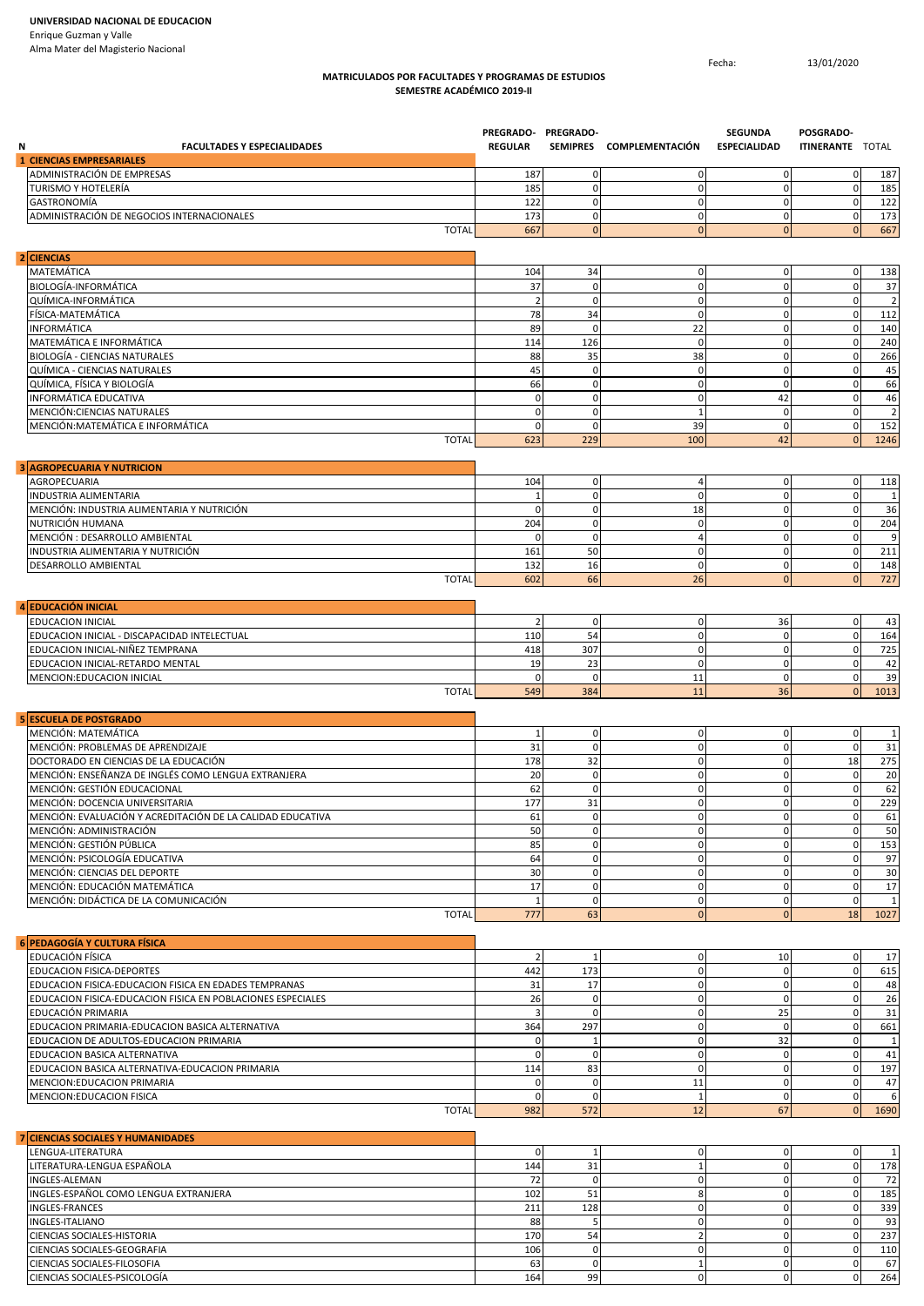## **MATRICULADOS POR FACULTADES Y PROGRAMAS DE ESTUDIOS SEMESTRE ACADÉMICO 2019-II**

Fecha: 13/01/2020

| <b>FACULTADES Y ESPECIALIDADES</b><br>Ν                               | PREGRADO- PREGRADO-<br><b>REGULAR</b> |                   | SEMIPRES COMPLEMENTACIÓN       | <b>SEGUNDA</b><br><b>ESPECIALIDAD</b> | POSGRADO-<br><b>ITINERANTE TOTAL</b> |                |
|-----------------------------------------------------------------------|---------------------------------------|-------------------|--------------------------------|---------------------------------------|--------------------------------------|----------------|
| <b>1 CIENCIAS EMPRESARIALES</b><br>ADMINISTRACIÓN DE EMPRESAS         |                                       | 0                 | $\mathbf 0$                    | 0                                     | $\mathbf 0$                          |                |
| TURISMO Y HOTELERÍA                                                   | 187<br>185                            | 0                 | $\mathbf{0}$                   | $\mathbf 0$                           | $\overline{0}$                       | 187<br>185     |
| GASTRONOMÍA                                                           | 122                                   | $\mathbf 0$       | $\mathbf{0}$                   | 0                                     | $\mathbf 0$                          | 122            |
| ADMINISTRACIÓN DE NEGOCIOS INTERNACIONALES                            | 173                                   | 0                 | $\mathbf 0$                    | 0                                     | $\mathbf 0$                          | 173            |
| <b>TOTAL</b>                                                          | 667                                   | $\mathbf{0}$      | $\overline{0}$                 | $\mathbf{0}$                          | $\overline{0}$                       | 667            |
| 2 CIENCIAS                                                            |                                       |                   |                                |                                       |                                      |                |
| MATEMÁTICA                                                            | 104                                   | 34                | $\mathbf{0}$                   | 0                                     | $\overline{0}$                       | 138            |
| BIOLOGÍA-INFORMÁTICA                                                  | 37                                    | $\mathbf 0$       | $\mathbf{0}$                   | $\mathbf 0$                           | $\mathbf 0$                          | 37             |
| QUÍMICA-INFORMÁTICA                                                   | $\overline{2}$                        | 0                 | $\mathbf{0}$                   | 0                                     | $\mathbf 0$                          |                |
| FÍSICA-MATEMÁTICA                                                     | 78                                    | 34                | $\mathbf{0}$                   | $\mathbf 0$                           | $\mathbf 0$                          | 112            |
| <b>INFORMÁTICA</b><br>MATEMÁTICA E INFORMÁTICA                        | 89<br>114                             | 0<br>126          | 22<br>$\mathbf{0}$             | 0<br>0                                | $\mathbf 0$<br>$\mathbf 0$           | 140<br>240     |
| <b>BIOLOGÍA - CIENCIAS NATURALES</b>                                  | 88                                    | 35                | 38                             | 0                                     | $\mathbf 0$                          | 266            |
| QUÍMICA - CIENCIAS NATURALES                                          | 45                                    | $\mathbf 0$       | $\mathbf{0}$                   | 0                                     | $\mathbf 0$                          | 45             |
| QUÍMICA, FÍSICA Y BIOLOGÍA                                            | 66                                    | 0                 | $\mathbf{0}$                   | 0                                     | $\mathbf 0$                          | 66             |
| INFORMÁTICA EDUCATIVA                                                 | $\mathbf 0$                           | 0                 | $\mathbf{0}$                   | 42                                    | $\mathbf 0$                          | 46             |
| MENCIÓN: CIENCIAS NATURALES                                           | $\mathbf 0$                           | 0                 | 1                              | 0                                     | $\mathbf 0$                          | $\overline{2}$ |
| MENCIÓN: MATEMÁTICA E INFORMÁTICA<br><b>TOTAL</b>                     | $\mathbf 0$                           | $\mathbf 0$       | 39                             | $\mathbf 0$                           | $\mathbf 0$<br>$\Omega$              | 152            |
|                                                                       | 623                                   | 229               | 100                            | 42                                    |                                      | 1246           |
| <b>AGROPECUARIA Y NUTRICION</b>                                       |                                       |                   |                                |                                       |                                      |                |
| AGROPECUARIA                                                          | 104                                   | 0                 | $\overline{4}$                 | 0                                     | $\mathbf 0$                          | 118            |
| INDUSTRIA ALIMENTARIA<br>MENCIÓN: INDUSTRIA ALIMENTARIA Y NUTRICIÓN   | $\overline{1}$<br>$\Omega$            | 0<br>0            | $\mathbf{0}$<br>18             | 0<br>0                                | $\mathbf 0$<br>$\mathbf 0$           | 36             |
| NUTRICIÓN HUMANA                                                      | 204                                   | 0                 | $\mathbf 0$                    | 0                                     | $\mathbf 0$                          | 204            |
| MENCIÓN : DESARROLLO AMBIENTAL                                        | $\mathbf 0$                           | 0                 | $\overline{4}$                 | 0                                     | $\mathbf 0$                          | 9              |
| INDUSTRIA ALIMENTARIA Y NUTRICIÓN                                     | 161                                   | 50                | $\mathbf{0}$                   | 0                                     | $\mathbf 0$                          | 211            |
| DESARROLLO AMBIENTAL                                                  | 132                                   | 16                | $\mathbf 0$                    | 0                                     | $\mathbf 0$                          | 148            |
| <b>TOTAL</b>                                                          | 602                                   | 66                | 26                             | $\mathbf{0}$                          | $\overline{0}$                       | 727            |
| <b>EDUCACIÓN INICIAL</b>                                              |                                       |                   |                                |                                       |                                      |                |
| EDUCACION INICIAL                                                     | $\overline{2}$                        | 0                 | $\mathbf 0$                    | 36                                    | $\mathbf 0$                          | 43             |
| EDUCACION INICIAL - DISCAPACIDAD INTELECTUAL                          | 110                                   | 54                | $\mathbf{0}$                   | 0                                     | $\mathbf 0$                          | 164            |
| EDUCACION INICIAL-NIÑEZ TEMPRANA                                      | 418                                   | 307               | $\mathbf 0$                    | 0                                     | $\mathbf 0$                          | 725            |
| EDUCACION INICIAL-RETARDO MENTAL                                      | 19                                    | 23                | $\mathbf 0$                    | 0                                     | $\mathbf 0$                          | 42             |
| MENCION: EDUCACION INICIAL<br><b>TOTAL</b>                            | $\Omega$<br>549                       | 0<br>384          | 11<br>11                       | 0<br>36                               | $\mathbf 0$<br>$\overline{0}$        | 39<br>1013     |
|                                                                       |                                       |                   |                                |                                       |                                      |                |
| <b>5 ESCUELA DE POSTGRADO</b>                                         |                                       |                   |                                |                                       |                                      |                |
| MENCIÓN: MATEMÁTICA<br>MENCIÓN: PROBLEMAS DE APRENDIZAJE              | 1<br>31                               | 0<br>0            | $\mathbf 0$<br>$\mathbf 0$     | $\mathbf 0$<br>0                      | $\mathbf 0$<br>$\mathbf 0$           | 31             |
| DOCTORADO EN CIENCIAS DE LA EDUCACIÓN                                 | 178                                   | 32                | $\mathbf 0$                    | 0                                     | 18                                   | 275            |
| MENCIÓN: ENSEÑANZA DE INGLÉS COMO LENGUA EXTRANJERA                   | 20                                    | 0                 | $\mathbf 0$                    | 0                                     | $\mathbf 0$                          | 20             |
| MENCIÓN: GESTIÓN EDUCACIONAL                                          | 62                                    | 0                 | $\mathbf 0$                    | 0                                     | $\mathbf 0$                          | 62             |
| MENCIÓN: DOCENCIA UNIVERSITARIA                                       | 177                                   | 31                | $\mathbf{0}$                   | $\mathbf{0}$                          | $\mathbf{0}$                         | 229            |
| MENCIÓN: EVALUACIÓN Y ACREDITACIÓN DE LA CALIDAD EDUCATIVA            | 61                                    | 0                 | $\mathbf{0}$                   | $\mathbf 0$                           | $\mathbf 0$                          | 61             |
| MENCIÓN: ADMINISTRACIÓN                                               | 50                                    | 0                 | $\overline{0}$                 | 0                                     | $\mathbf{0}$                         | 50             |
| MENCIÓN: GESTIÓN PÚBLICA<br>MENCIÓN: PSICOLOGÍA EDUCATIVA             | 85<br>64                              | 0<br>0            | $\mathbf{0}$<br>$\mathbf{0}$   | 0<br>0                                | $\mathbf{0}$<br>$\mathbf 0$          | 153<br>97      |
| MENCIÓN: CIENCIAS DEL DEPORTE                                         | 30                                    | $\pmb{0}$         | $\mathbf 0$                    | 0                                     | $\mathbf 0$                          | 30             |
| MENCIÓN: EDUCACIÓN MATEMÁTICA                                         | 17                                    | 0                 | $\mathbf{0}$                   | 0                                     | $\overline{0}$                       | 17             |
| MENCIÓN: DIDÁCTICA DE LA COMUNICACIÓN                                 | $\mathbf{1}$                          | $\pmb{0}$         | $\mathbf 0$                    | 0                                     | $\mathbf 0$                          | 1              |
| <b>TOTAL</b>                                                          | 777                                   | 63                | $\overline{0}$                 | $\Omega$                              | 18                                   | 1027           |
| 6 PEDAGOGÍA Y CULTURA FÍSICA                                          |                                       |                   |                                |                                       |                                      |                |
| EDUCACIÓN FÍSICA                                                      | 2                                     | 1                 | $\mathbf 0$                    | 10                                    | $\mathbf 0$                          | 17             |
| EDUCACION FISICA-DEPORTES                                             | 442                                   | 173               | $\mathbf{0}$                   | 0                                     | $\mathbf 0$                          | 615            |
| EDUCACION FISICA-EDUCACION FISICA EN EDADES TEMPRANAS                 | 31                                    | 17                | $\mathbf 0$                    | $\mathbf 0$                           | $\mathbf 0$                          | 48             |
| EDUCACION FISICA-EDUCACION FISICA EN POBLACIONES ESPECIALES           | 26<br>3                               | 0<br>$\mathbf 0$  | $\mathbf 0$<br>$\overline{0}$  | 0                                     | $\mathbf 0$<br>$\mathbf{0}$          | 26             |
| EDUCACIÓN PRIMARIA<br>EDUCACION PRIMARIA-EDUCACION BASICA ALTERNATIVA | 364                                   | 297               | $\mathbf 0$                    | 25<br>$\mathbf 0$                     | $\mathbf 0$                          | 31<br>661      |
| EDUCACION DE ADULTOS-EDUCACION PRIMARIA                               | $\mathbf 0$                           | $\mathbf 1$       | $\mathbf 0$                    | 32                                    | $\mathbf{0}$                         | 1              |
| EDUCACION BASICA ALTERNATIVA                                          | $\mathbf 0$                           | 0                 | $\mathbf{0}$                   | 0                                     | $\mathbf 0$                          | 41             |
| EDUCACION BASICA ALTERNATIVA-EDUCACION PRIMARIA                       | 114                                   | 83                | $\mathbf{0}$                   | $\mathbf 0$                           | $\mathbf{0}$                         | 197            |
| MENCION: EDUCACION PRIMARIA                                           | $\mathbf 0$                           | 0                 | 11                             | $\mathbf 0$                           | $\mathbf 0$                          | 47             |
| MENCION: EDUCACION FISICA                                             | $\mathbf 0$                           | $\mathsf 0$       | $\mathbf{1}$                   | $\mathbf 0$                           | $\mathbf 0$                          | 6              |
| <b>TOTAL</b>                                                          | 982                                   | 572               | 12                             | 67                                    | $\overline{0}$                       | 1690           |
| 7 CIENCIAS SOCIALES Y HUMANIDADES                                     |                                       |                   |                                |                                       |                                      |                |
| LENGUA-LITERATURA                                                     | $\mathbf 0$                           | $\mathbf{1}$      | $\mathbf 0$                    | $\mathbf 0$                           | $\mathbf 0$                          | -1             |
| LITERATURA-LENGUA ESPAÑOLA                                            | 144                                   | 31                | $\mathbf{1}$                   | $\mathbf{0}$                          | $\mathbf{0}$                         | 178            |
| INGLES-ALEMAN<br>INGLES-ESPAÑOL COMO LENGUA EXTRANJERA                | 72<br>102                             | $\mathbf 0$<br>51 | $\mathbf{0}$<br>8 <sup>1</sup> | 0<br>$\mathbf 0$                      | $\mathbf{0}$<br>$\mathbf 0$          | 72<br>185      |
| <b>INGLES-FRANCES</b>                                                 | 211                                   | 128               | $\mathbf 0$                    | $\mathbf{0}$                          | $\mathbf 0$                          | 339            |
| INGLES-ITALIANO                                                       | 88                                    | 5                 | $\overline{0}$                 | $\mathbf{0}$                          | $\mathbf 0$                          | 93             |

CIENCIAS SOCIALES-HISTORIA 170 54 2 0 0 237 CIENCIAS SOCIALES-GEOGRAFIA 106 0 0 0 0 110 CIENCIAS SOCIALES-FILOSOFIA 63 0 1 0 0 67 CIENCIAS SOCIALES-PSICOLOGÍA 164 99 0 0 0 264